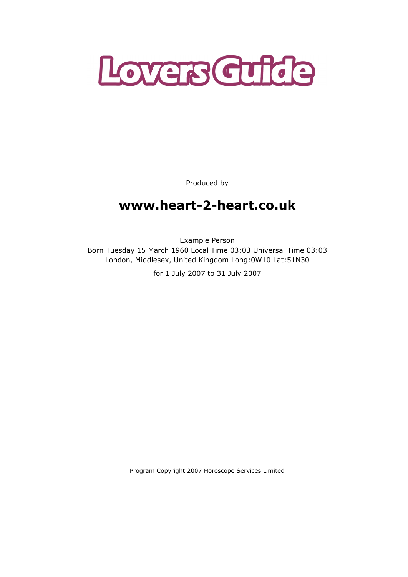

Produced by

# www.heart-2-heart.co.uk

Example Person Born Tuesday 15 March 1960 Local Time 03:03 Universal Time 03:03 London, Middlesex, United Kingdom Long:0W10 Lat:51N30

for 1 July 2007 to 31 July 2007

Program Copyright 2007 Horoscope Services Limited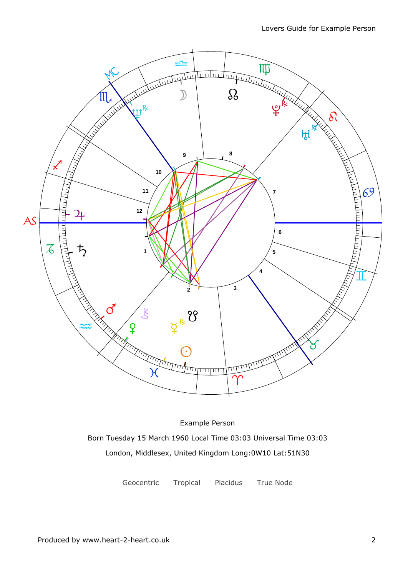

Example Person Born Tuesday 15 March 1960 Local Time 03:03 Universal Time 03:03 London, Middlesex, United Kingdom Long:0W10 Lat:51N30

Geocentric Tropical Placidus True Node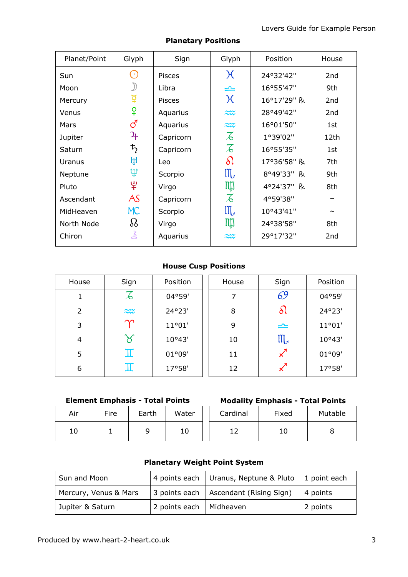| Planet/Point | Glyph                | Sign          | Glyph                    | Position    | House           |
|--------------|----------------------|---------------|--------------------------|-------------|-----------------|
| Sun          | $(\cdot)$            | <b>Pisces</b> | $\chi$                   | 24°32'42"   | 2 <sub>nd</sub> |
| Moon         |                      | Libra         | ⋍                        | 16°55'47"   | 9th             |
| Mercury      | $\breve{\mathrm{Q}}$ | <b>Pisces</b> | $\chi$                   | 16°17'29" R | 2 <sub>nd</sub> |
| Venus        | ¥                    | Aquarius      | $\approx$                | 28°49'42"   | 2 <sub>nd</sub> |
| Mars         | ්                    | Aquarius      | $\approx$                | 16°01'50"   | 1st             |
| Jupiter      | 27                   | Capricorn     | $\overline{\mathcal{A}}$ | 1°39'02"    | 12th            |
| Saturn       | $\bm{\ddot{5}}$      | Capricorn     | $\overline{\mathcal{A}}$ | 16°55'35"   | 1st             |
| Uranus       | ਸ਼੍ਰ                 | Leo           | $\delta\!$               | 17°36'58" R | 7th             |
| Neptune      | ψ                    | Scorpio       | $\mathfrak{m}$           | 8°49'33" R  | 9th             |
| Pluto        | $\mathfrak{P}$       | Virgo         | Щ                        | 4°24'37" R  | 8th             |
| Ascendant    | AS                   | Capricorn     | $\overline{\mathcal{L}}$ | 4°59'38"    |                 |
| MidHeaven    | <b>MC</b>            | Scorpio       | $\mathfrak{m}$           | 10°43'41"   |                 |
| North Node   | $\Omega$             | Virgo         | Щ                        | 24°38'58"   | 8th             |
| Chiron       | 飞                    | Aquarius      | $\approx$                | 29°17'32"   | 2 <sub>nd</sub> |

### Planetary Positions

## House Cusp Positions

| House          | Sign                     | Position | House | Sign                | Position |
|----------------|--------------------------|----------|-------|---------------------|----------|
| 1              | $\overline{\mathcal{A}}$ | 04°59'   | 7     | 69                  | 04°59'   |
| $\overline{2}$ | $\approx$                | 24°23'   | 8     | ১৷                  | 24°23'   |
| 3              | $\bm{\gamma}$            | 11°01'   | 9     | $\equiv$            | 11°01'   |
| 4              | ୪                        | 10°43'   | 10    | $III_{\mathcal{A}}$ | 10°43'   |
| 5              | $\mathbb I$              | 01°09'   | 11    | x                   | 01°09'   |
| 6              | $\mathbb I$              | 17°58'   | 12    | x                   | 17°58'   |

## Element Emphasis - Total Points

| Air | Fire | Earth | Water | Cardi                    |
|-----|------|-------|-------|--------------------------|
| 10  |      |       | 10    | $\overline{\phantom{0}}$ |

| ire | Earth | Water | Cardinal | Fixed | Mutable |
|-----|-------|-------|----------|-------|---------|
| ᅩ   |       | 10    |          |       |         |

## Planetary Weight Point System

| Sun and Moon          |                           | 4 points each Uranus, Neptune & Pluto $\vert$ 1 point each |             |
|-----------------------|---------------------------|------------------------------------------------------------|-------------|
| Mercury, Venus & Mars |                           | 3 points each   Ascendant (Rising Sign)                    | $ 4$ points |
| Jupiter & Saturn      | 2 points each   Midheaven |                                                            | 2 points    |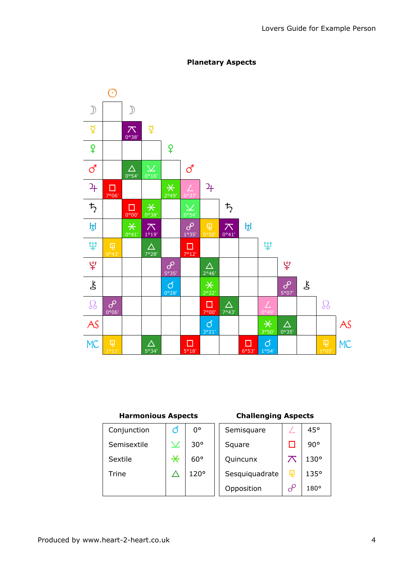

### Planetary Aspects

### Harmonious Aspects

## Challenging Aspects

| Conjunction | O                                        | 0°           | Semisquare     |          | 45°         |
|-------------|------------------------------------------|--------------|----------------|----------|-------------|
| Semisextile | $\boldsymbol{\mathsf{\underline{\vee}}}$ | $30^{\circ}$ | Square         |          | 90°         |
| Sextile     | $\overline{\ast}$                        | $60^{\circ}$ | Quincunx       |          | $130^\circ$ |
| Trine       |                                          | 120°         | Sesquiquadrate | 曱        | 135°        |
|             |                                          |              | Opposition     | $\sigma$ | $180^\circ$ |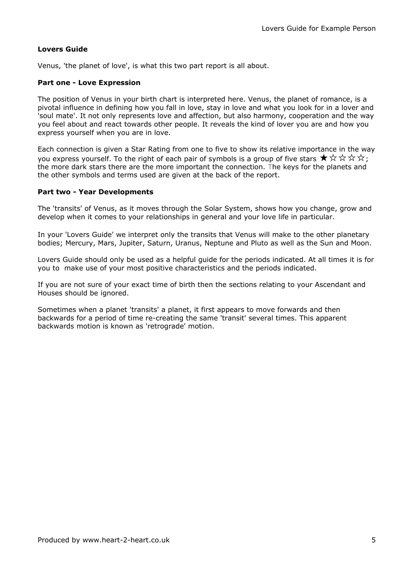### Lovers Guide

Venus, 'the planet of love', is what this two part report is all about.

### Part one - Love Expression

The position of Venus in your birth chart is interpreted here. Venus, the planet of romance, is a pivotal influence in defining how you fall in love, stay in love and what you look for in a lover and 'soul mate'. It not only represents love and affection, but also harmony, cooperation and the way you feel about and react towards other people. It reveals the kind of lover you are and how you express yourself when you are in love.

Each connection is given a Star Rating from one to five to show its relative importance in the way you express yourself. To the right of each pair of symbols is a group of five stars  $\star \times \star \star \star;$ the more dark stars there are the more important the connection. The keys for the planets and the other symbols and terms used are given at the back of the report.

### Part two - Year Developments

The 'transits' of Venus, as it moves through the Solar System, shows how you change, grow and develop when it comes to your relationships in general and your love life in particular.

In your 'Lovers Guide' we interpret only the transits that Venus will make to the other planetary bodies; Mercury, Mars, Jupiter, Saturn, Uranus, Neptune and Pluto as well as the Sun and Moon.

Lovers Guide should only be used as a helpful guide for the periods indicated. At all times it is for you to make use of your most positive characteristics and the periods indicated.

If you are not sure of your exact time of birth then the sections relating to your Ascendant and Houses should be ignored.

Sometimes when a planet 'transits' a planet, it first appears to move forwards and then backwards for a period of time re-creating the same 'transit' several times. This apparent backwards motion is known as 'retrograde' motion.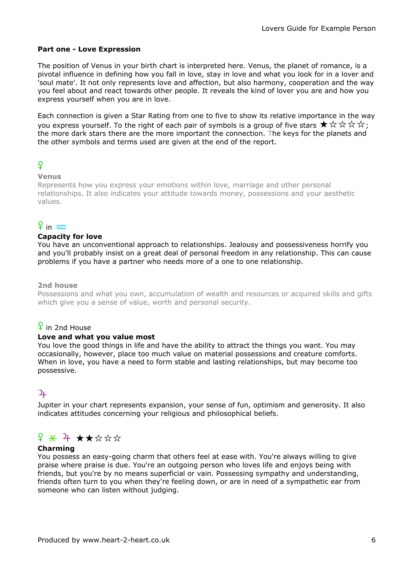### Part one - Love Expression

The position of Venus in your birth chart is interpreted here. Venus, the planet of romance, is a pivotal influence in defining how you fall in love, stay in love and what you look for in a lover and 'soul mate'. It not only represents love and affection, but also harmony, cooperation and the way you feel about and react towards other people. It reveals the kind of lover you are and how you express yourself when you are in love.

Each connection is given a Star Rating from one to five to show its relative importance in the way you express yourself. To the right of each pair of symbols is a group of five stars  $\star \times \star \star \star$ . the more dark stars there are the more important the connection. The keys for the planets and the other symbols and terms used are given at the end of the report.

## $\overline{Q}$

### Venus

Represents how you express your emotions within love, marriage and other personal relationships. It also indicates your attitude towards money, possessions and your aesthetic values.

## $9$  in  $\approx$

### Capacity for love

You have an unconventional approach to relationships. Jealousy and possessiveness horrify you and you'll probably insist on a great deal of personal freedom in any relationship. This can cause problems if you have a partner who needs more of a one to one relationship.

### 2nd house

Possessions and what you own, accumulation of wealth and resources or acquired skills and gifts which give you a sense of value, worth and personal security.

## $\frac{6}{1}$  in 2nd House

### Love and what you value most

You love the good things in life and have the ability to attract the things you want. You may occasionally, however, place too much value on material possessions and creature comforts. When in love, you have a need to form stable and lasting relationships, but may become too possessive.

## $\overline{2}$

Jupiter in your chart represents expansion, your sense of fun, optimism and generosity. It also indicates attitudes concerning your religious and philosophical beliefs.

## $f$   $\star$  7  $\star$   $\star$   $\star$   $\star$   $\star$

#### Charming

You possess an easy-going charm that others feel at ease with. You're always willing to give praise where praise is due. You're an outgoing person who loves life and enjoys being with friends, but you're by no means superficial or vain. Possessing sympathy and understanding, friends often turn to you when they're feeling down, or are in need of a sympathetic ear from someone who can listen without judging.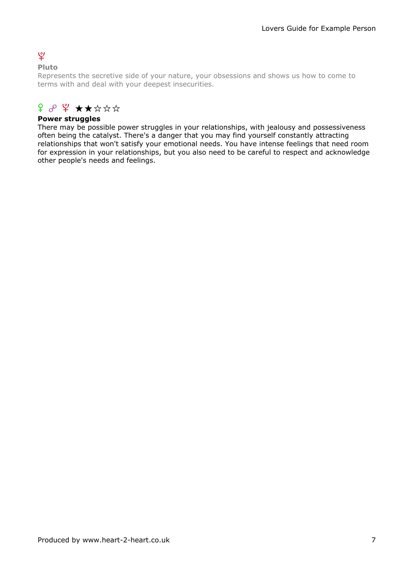## $\mathbf{\varrho}$

### Pluto

Represents the secretive side of your nature, your obsessions and shows us how to come to terms with and deal with your deepest insecurities.

## $f \circ \psi$  \*\*\*\*\*

### Power struggles

There may be possible power struggles in your relationships, with jealousy and possessiveness often being the catalyst. There's a danger that you may find yourself constantly attracting relationships that won't satisfy your emotional needs. You have intense feelings that need room for expression in your relationships, but you also need to be careful to respect and acknowledge other people's needs and feelings.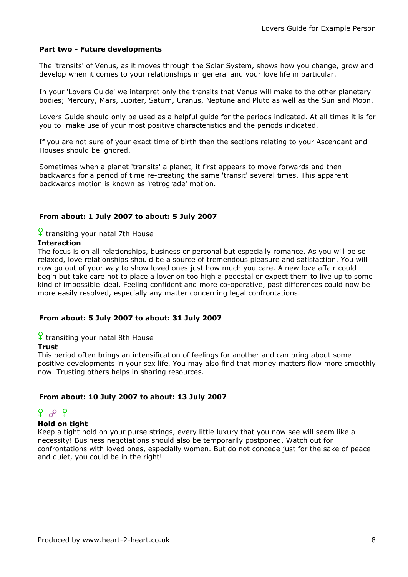### Part two - Future developments

The 'transits' of Venus, as it moves through the Solar System, shows how you change, grow and develop when it comes to your relationships in general and your love life in particular.

In your 'Lovers Guide' we interpret only the transits that Venus will make to the other planetary bodies; Mercury, Mars, Jupiter, Saturn, Uranus, Neptune and Pluto as well as the Sun and Moon.

Lovers Guide should only be used as a helpful guide for the periods indicated. At all times it is for you to make use of your most positive characteristics and the periods indicated.

If you are not sure of your exact time of birth then the sections relating to your Ascendant and Houses should be ignored.

Sometimes when a planet 'transits' a planet, it first appears to move forwards and then backwards for a period of time re-creating the same 'transit' several times. This apparent backwards motion is known as 'retrograde' motion.

### From about: 1 July 2007 to about: 5 July 2007

## $\frac{6}{5}$  transiting your natal 7th House

#### Interaction

The focus is on all relationships, business or personal but especially romance. As you will be so relaxed, love relationships should be a source of tremendous pleasure and satisfaction. You will now go out of your way to show loved ones just how much you care. A new love affair could begin but take care not to place a lover on too high a pedestal or expect them to live up to some kind of impossible ideal. Feeling confident and more co-operative, past differences could now be more easily resolved, especially any matter concerning legal confrontations.

#### From about: 5 July 2007 to about: 31 July 2007

 $\frac{6}{1}$  transiting your natal 8th House

#### Trust

This period often brings an intensification of feelings for another and can bring about some positive developments in your sex life. You may also find that money matters flow more smoothly now. Trusting others helps in sharing resources.

#### From about: 10 July 2007 to about: 13 July 2007

### f w f

### Hold on tight

Keep a tight hold on your purse strings, every little luxury that you now see will seem like a necessity! Business negotiations should also be temporarily postponed. Watch out for confrontations with loved ones, especially women. But do not concede just for the sake of peace and quiet, you could be in the right!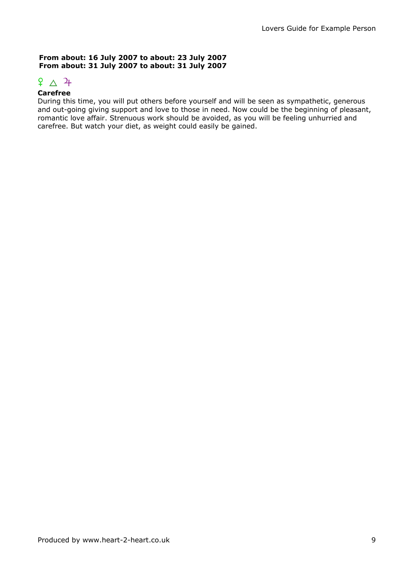### From about: 16 July 2007 to about: 23 July 2007 From about: 31 July 2007 to about: 31 July 2007

# $\frac{6}{4}$   $\Delta$   $\frac{2}{4}$

### Carefree

During this time, you will put others before yourself and will be seen as sympathetic, generous and out-going giving support and love to those in need. Now could be the beginning of pleasant, romantic love affair. Strenuous work should be avoided, as you will be feeling unhurried and carefree. But watch your diet, as weight could easily be gained.